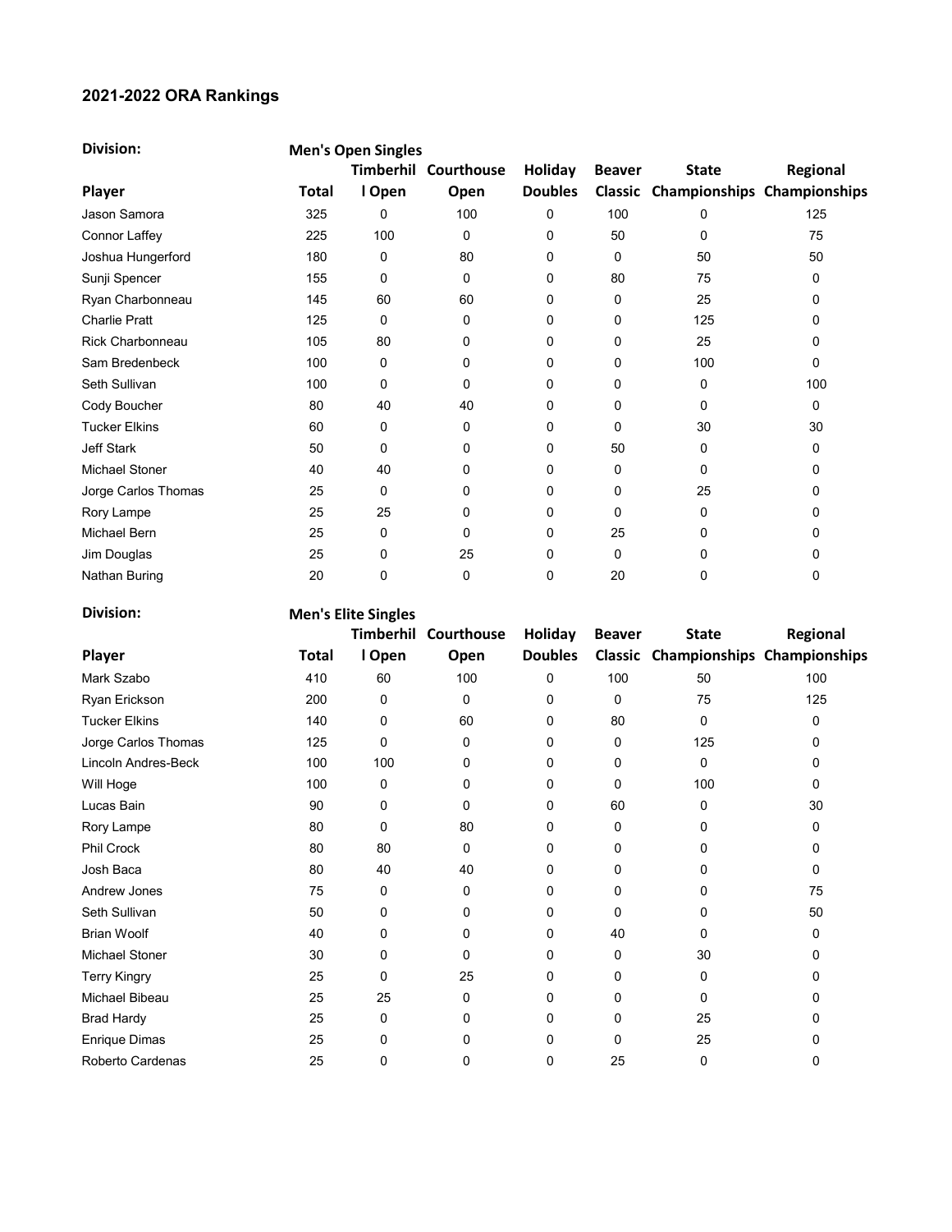## 2021-2022 ORA Rankings

| <b>Division:</b>     |       | <b>Men's Open Singles</b> |            |                |               |                                     |          |  |  |  |  |
|----------------------|-------|---------------------------|------------|----------------|---------------|-------------------------------------|----------|--|--|--|--|
|                      |       | <b>Timberhil</b>          | Courthouse | Holiday        | <b>Beaver</b> | <b>State</b>                        | Regional |  |  |  |  |
| Player               | Total | I Open                    | Open       | <b>Doubles</b> |               | Classic Championships Championships |          |  |  |  |  |
| Jason Samora         | 325   | 0                         | 100        | 0              | 100           | 0                                   | 125      |  |  |  |  |
| Connor Laffey        | 225   | 100                       | 0          | 0              | 50            | 0                                   | 75       |  |  |  |  |
| Joshua Hungerford    | 180   | 0                         | 80         | 0              | 0             | 50                                  | 50       |  |  |  |  |
| Sunji Spencer        | 155   | 0                         | 0          | 0              | 80            | 75                                  | 0        |  |  |  |  |
| Ryan Charbonneau     | 145   | 60                        | 60         | 0              | 0             | 25                                  | 0        |  |  |  |  |
| <b>Charlie Pratt</b> | 125   | $\Omega$                  | 0          | 0              | 0             | 125                                 | 0        |  |  |  |  |
| Rick Charbonneau     | 105   | 80                        | 0          | 0              | 0             | 25                                  | 0        |  |  |  |  |
| Sam Bredenbeck       | 100   | $\Omega$                  | 0          | 0              | 0             | 100                                 | $\Omega$ |  |  |  |  |
| Seth Sullivan        | 100   | 0                         | 0          | 0              | 0             | 0                                   | 100      |  |  |  |  |
| Cody Boucher         | 80    | 40                        | 40         | 0              | 0             | 0                                   | 0        |  |  |  |  |
| <b>Tucker Elkins</b> | 60    | 0                         | 0          | 0              | 0             | 30                                  | 30       |  |  |  |  |
| <b>Jeff Stark</b>    | 50    | 0                         | 0          | 0              | 50            | 0                                   | 0        |  |  |  |  |
| Michael Stoner       | 40    | 40                        | 0          | 0              | 0             | 0                                   | 0        |  |  |  |  |
| Jorge Carlos Thomas  | 25    | 0                         | 0          | 0              | 0             | 25                                  | 0        |  |  |  |  |
| Rory Lampe           | 25    | 25                        | 0          | 0              | 0             | 0                                   | 0        |  |  |  |  |
| Michael Bern         | 25    | 0                         | 0          | 0              | 25            | 0                                   | 0        |  |  |  |  |
| Jim Douglas          | 25    | 0                         | 25         | 0              | 0             | 0                                   | 0        |  |  |  |  |
| Nathan Buring        | 20    | 0                         | 0          | 0              | 20            | 0                                   | 0        |  |  |  |  |

| <b>Division:</b>      | <b>Men's Elite Singles</b> |           |            |                |               |                                     |          |  |  |
|-----------------------|----------------------------|-----------|------------|----------------|---------------|-------------------------------------|----------|--|--|
|                       |                            | Timberhil | Courthouse | Holiday        | <b>Beaver</b> | <b>State</b>                        | Regional |  |  |
| Player                | Total                      | I Open    | Open       | <b>Doubles</b> |               | Classic Championships Championships |          |  |  |
| Mark Szabo            | 410                        | 60        | 100        | 0              | 100           | 50                                  | 100      |  |  |
| Ryan Erickson         | 200                        | 0         | $\Omega$   | 0              | 0             | 75                                  | 125      |  |  |
| <b>Tucker Elkins</b>  | 140                        | 0         | 60         | 0              | 80            | 0                                   | 0        |  |  |
| Jorge Carlos Thomas   | 125                        | 0         | 0          | 0              | 0             | 125                                 | 0        |  |  |
| Lincoln Andres-Beck   | 100                        | 100       | 0          | 0              | 0             | 0                                   | 0        |  |  |
| Will Hoge             | 100                        | 0         | 0          | 0              | 0             | 100                                 | 0        |  |  |
| Lucas Bain            | 90                         | 0         | 0          | 0              | 60            | 0                                   | 30       |  |  |
| Rory Lampe            | 80                         | 0         | 80         | 0              | 0             | 0                                   | 0        |  |  |
| <b>Phil Crock</b>     | 80                         | 80        | $\Omega$   | 0              | 0             | 0                                   | 0        |  |  |
| Josh Baca             | 80                         | 40        | 40         | 0              | 0             | 0                                   | 0        |  |  |
| Andrew Jones          | 75                         | 0         | 0          | 0              | 0             | 0                                   | 75       |  |  |
| Seth Sullivan         | 50                         | 0         | $\Omega$   | 0              | $\Omega$      | 0                                   | 50       |  |  |
| <b>Brian Woolf</b>    | 40                         | 0         | 0          | 0              | 40            | 0                                   | 0        |  |  |
| <b>Michael Stoner</b> | 30                         | 0         | 0          | 0              | 0             | 30                                  | 0        |  |  |
| <b>Terry Kingry</b>   | 25                         | 0         | 25         | 0              | 0             | 0                                   | 0        |  |  |
| Michael Bibeau        | 25                         | 25        | 0          | 0              | 0             | 0                                   | 0        |  |  |
| <b>Brad Hardy</b>     | 25                         | 0         | 0          | 0              | 0             | 25                                  | 0        |  |  |
| <b>Enrique Dimas</b>  | 25                         | 0         | 0          | 0              | 0             | 25                                  | 0        |  |  |
| Roberto Cardenas      | 25                         | 0         | 0          | 0              | 25            | 0                                   | 0        |  |  |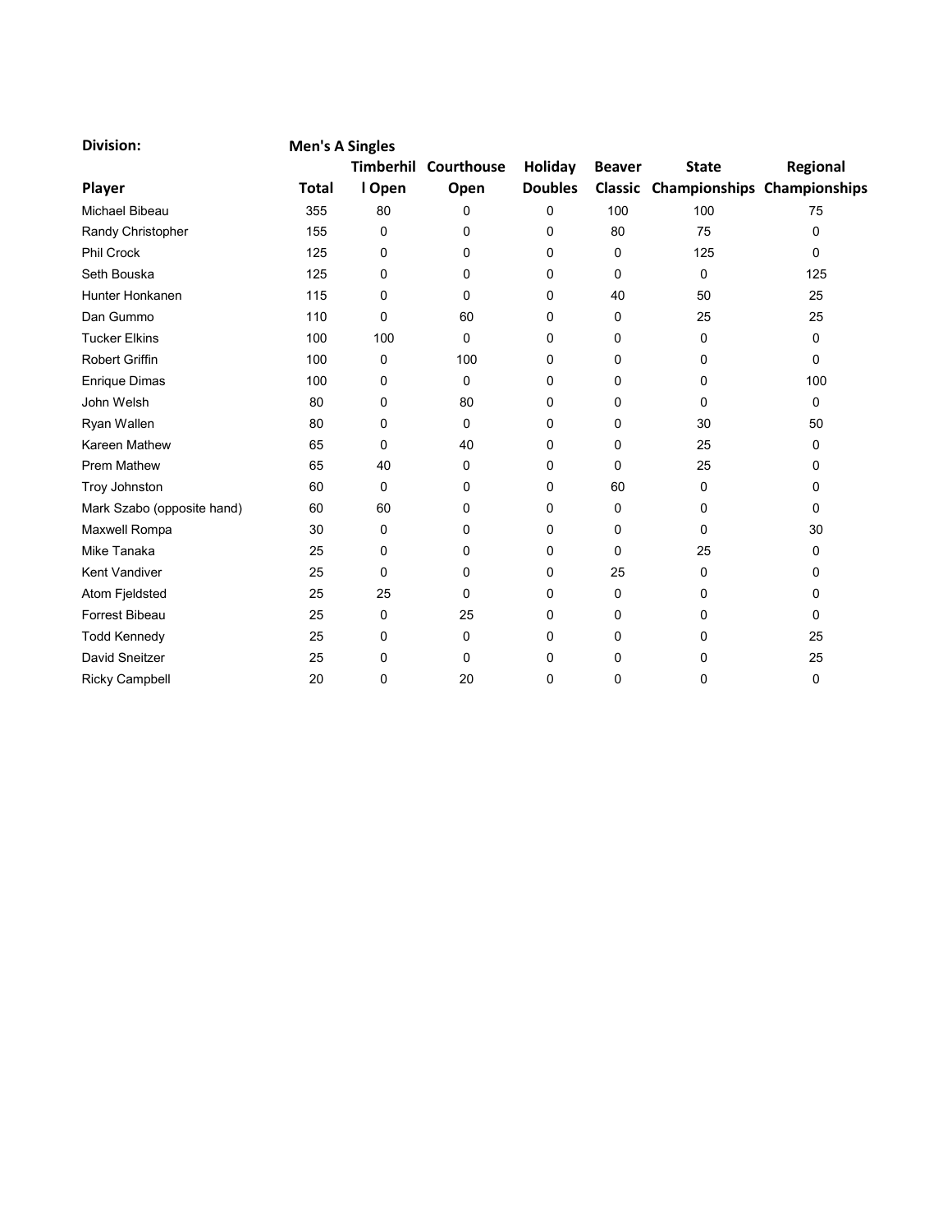| <b>Division:</b>           | <b>Men's A Singles</b> |                  |            |                |               |                                     |              |
|----------------------------|------------------------|------------------|------------|----------------|---------------|-------------------------------------|--------------|
|                            |                        | <b>Timberhil</b> | Courthouse | Holiday        | <b>Beaver</b> | <b>State</b>                        | Regional     |
| Player                     | <b>Total</b>           | I Open           | Open       | <b>Doubles</b> |               | Classic Championships Championships |              |
| <b>Michael Bibeau</b>      | 355                    | 80               | 0          | 0              | 100           | 100                                 | 75           |
| Randy Christopher          | 155                    | 0                | 0          | 0              | 80            | 75                                  | 0            |
| <b>Phil Crock</b>          | 125                    | 0                | 0          | 0              | 0             | 125                                 | $\mathbf{0}$ |
| Seth Bouska                | 125                    | 0                | 0          | 0              | 0             | 0                                   | 125          |
| Hunter Honkanen            | 115                    | 0                | 0          | 0              | 40            | 50                                  | 25           |
| Dan Gummo                  | 110                    | 0                | 60         | 0              | 0             | 25                                  | 25           |
| <b>Tucker Elkins</b>       | 100                    | 100              | 0          | 0              | 0             | 0                                   | $\mathbf 0$  |
| <b>Robert Griffin</b>      | 100                    | 0                | 100        | 0              | 0             | 0                                   | 0            |
| <b>Enrique Dimas</b>       | 100                    | 0                | $\Omega$   | 0              | 0             | 0                                   | 100          |
| John Welsh                 | 80                     | 0                | 80         | 0              | 0             | 0                                   | 0            |
| Ryan Wallen                | 80                     | 0                | 0          | 0              | 0             | 30                                  | 50           |
| Kareen Mathew              | 65                     | 0                | 40         | 0              | $\Omega$      | 25                                  | 0            |
| <b>Prem Mathew</b>         | 65                     | 40               | $\Omega$   | 0              | $\Omega$      | 25                                  | 0            |
| Troy Johnston              | 60                     | 0                | 0          | 0              | 60            | 0                                   | 0            |
| Mark Szabo (opposite hand) | 60                     | 60               | 0          | 0              | 0             | 0                                   | $\Omega$     |
| Maxwell Rompa              | 30                     | 0                | 0          | 0              | 0             | 0                                   | 30           |
| Mike Tanaka                | 25                     | 0                | 0          | 0              | 0             | 25                                  | 0            |
| <b>Kent Vandiver</b>       | 25                     | 0                | 0          | 0              | 25            | 0                                   | 0            |
| Atom Fjeldsted             | 25                     | 25               | 0          | 0              | 0             | 0                                   | 0            |
| <b>Forrest Bibeau</b>      | 25                     | 0                | 25         | 0              | 0             | 0                                   | 0            |
| <b>Todd Kennedy</b>        | 25                     | 0                | 0          | 0              | 0             | 0                                   | 25           |
| David Sneitzer             | 25                     | 0                | 0          | 0              | 0             | 0                                   | 25           |
| <b>Ricky Campbell</b>      | 20                     | 0                | 20         | 0              | 0             | 0                                   | 0            |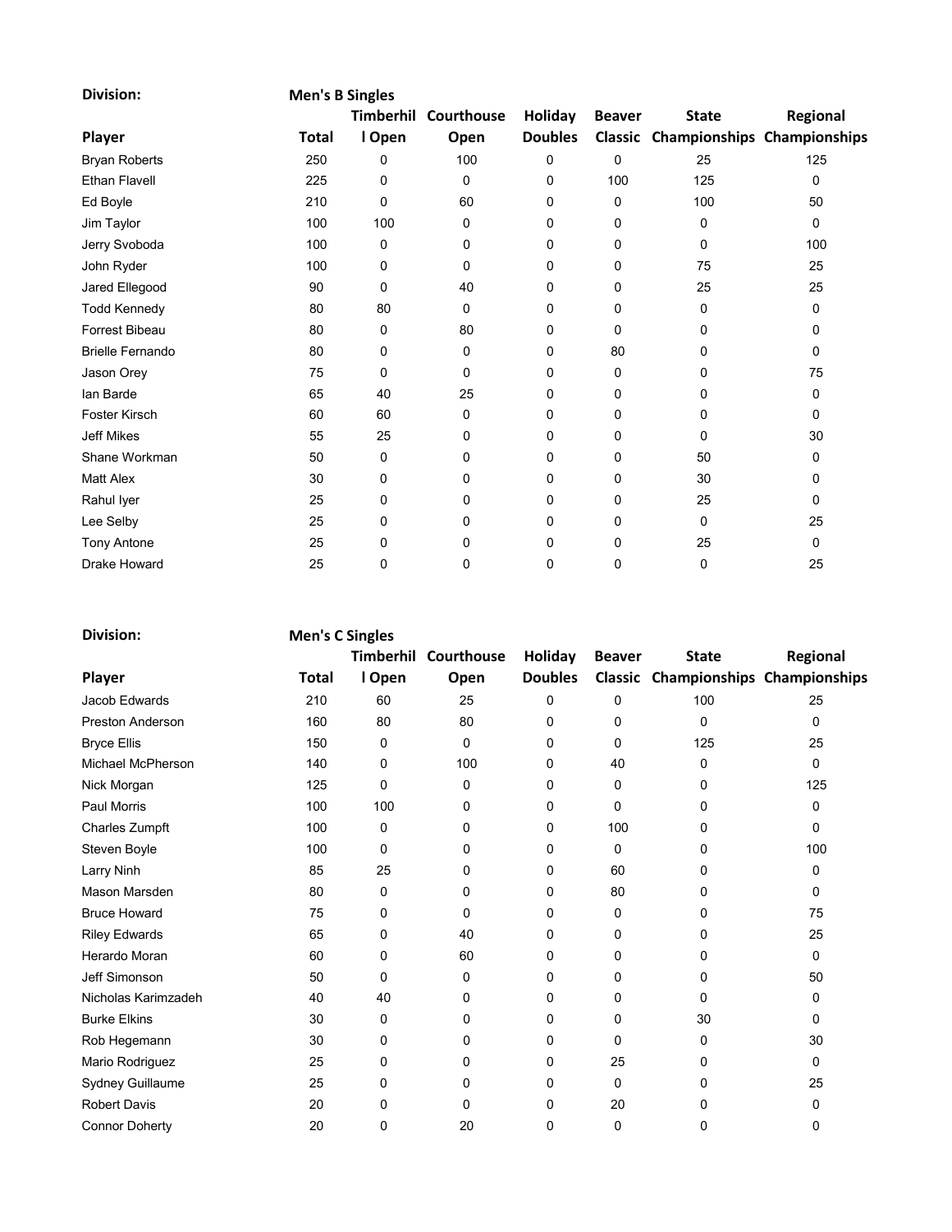| <b>Division:</b>        |              | <b>Men's B Singles</b> |            |                |               |                                     |             |  |  |  |  |
|-------------------------|--------------|------------------------|------------|----------------|---------------|-------------------------------------|-------------|--|--|--|--|
|                         |              | Timberhil              | Courthouse | Holiday        | <b>Beaver</b> | <b>State</b>                        | Regional    |  |  |  |  |
| Player                  | <b>Total</b> | I Open                 | Open       | <b>Doubles</b> |               | Classic Championships Championships |             |  |  |  |  |
| <b>Bryan Roberts</b>    | 250          | 0                      | 100        | 0              | $\Omega$      | 25                                  | 125         |  |  |  |  |
| <b>Ethan Flavell</b>    | 225          | 0                      | 0          | 0              | 100           | 125                                 | $\mathbf 0$ |  |  |  |  |
| Ed Boyle                | 210          | 0                      | 60         | 0              | 0             | 100                                 | 50          |  |  |  |  |
| Jim Taylor              | 100          | 100                    | 0          | 0              | 0             | 0                                   | 0           |  |  |  |  |
| Jerry Svoboda           | 100          | 0                      | 0          | 0              | 0             | 0                                   | 100         |  |  |  |  |
| John Ryder              | 100          | 0                      | 0          | 0              | 0             | 75                                  | 25          |  |  |  |  |
| Jared Ellegood          | 90           | 0                      | 40         | 0              | 0             | 25                                  | 25          |  |  |  |  |
| <b>Todd Kennedy</b>     | 80           | 80                     | $\Omega$   | 0              | 0             | 0                                   | 0           |  |  |  |  |
| Forrest Bibeau          | 80           | 0                      | 80         | 0              | 0             | 0                                   | 0           |  |  |  |  |
| <b>Brielle Fernando</b> | 80           | 0                      | 0          | 0              | 80            | 0                                   | 0           |  |  |  |  |
| Jason Orey              | 75           | 0                      | 0          | 0              | 0             | 0                                   | 75          |  |  |  |  |
| lan Barde               | 65           | 40                     | 25         | 0              | 0             | 0                                   | 0           |  |  |  |  |
| Foster Kirsch           | 60           | 60                     | 0          | 0              | 0             | 0                                   | 0           |  |  |  |  |
| <b>Jeff Mikes</b>       | 55           | 25                     | 0          | 0              | 0             | 0                                   | 30          |  |  |  |  |
| Shane Workman           | 50           | 0                      | $\Omega$   | 0              | $\Omega$      | 50                                  | 0           |  |  |  |  |
| <b>Matt Alex</b>        | 30           | 0                      | 0          | 0              | 0             | 30                                  | 0           |  |  |  |  |
| Rahul Iyer              | 25           | 0                      | 0          | 0              | 0             | 25                                  | $\mathbf 0$ |  |  |  |  |
| Lee Selby               | 25           | 0                      | 0          | 0              | $\Omega$      | 0                                   | 25          |  |  |  |  |
| <b>Tony Antone</b>      | 25           | 0                      | 0          | 0              | 0             | 25                                  | 0           |  |  |  |  |
| <b>Drake Howard</b>     | 25           | 0                      | 0          | 0              | 0             | 0                                   | 25          |  |  |  |  |

| <b>Division:</b>        |              | <b>Men's C Singles</b> |            |                |               |                                     |          |  |  |  |
|-------------------------|--------------|------------------------|------------|----------------|---------------|-------------------------------------|----------|--|--|--|
|                         |              | Timberhil              | Courthouse | Holiday        | <b>Beaver</b> | <b>State</b>                        | Regional |  |  |  |
| Player                  | <b>Total</b> | I Open                 | Open       | <b>Doubles</b> |               | Classic Championships Championships |          |  |  |  |
| Jacob Edwards           | 210          | 60                     | 25         | 0              | 0             | 100                                 | 25       |  |  |  |
| <b>Preston Anderson</b> | 160          | 80                     | 80         | 0              | 0             | $\Omega$                            | 0        |  |  |  |
| <b>Bryce Ellis</b>      | 150          | 0                      | 0          | $\Omega$       | 0             | 125                                 | 25       |  |  |  |
| Michael McPherson       | 140          | 0                      | 100        | 0              | 40            | $\Omega$                            | 0        |  |  |  |
| Nick Morgan             | 125          | 0                      | $\Omega$   | 0              | 0             | 0                                   | 125      |  |  |  |
| Paul Morris             | 100          | 100                    | 0          | 0              | $\Omega$      | 0                                   | 0        |  |  |  |
| <b>Charles Zumpft</b>   | 100          | 0                      | 0          | 0              | 100           | 0                                   | 0        |  |  |  |
| Steven Boyle            | 100          | 0                      | 0          | 0              | 0             | 0                                   | 100      |  |  |  |
| Larry Ninh              | 85           | 25                     | 0          | 0              | 60            | 0                                   | 0        |  |  |  |
| Mason Marsden           | 80           | 0                      | 0          | $\mathbf{0}$   | 80            | $\Omega$                            | 0        |  |  |  |
| <b>Bruce Howard</b>     | 75           | 0                      | 0          | 0              | 0             | 0                                   | 75       |  |  |  |
| <b>Riley Edwards</b>    | 65           | 0                      | 40         | 0              | 0             | $\Omega$                            | 25       |  |  |  |
| Herardo Moran           | 60           | 0                      | 60         | 0              | 0             | 0                                   | 0        |  |  |  |
| Jeff Simonson           | 50           | 0                      | 0          | 0              | 0             | 0                                   | 50       |  |  |  |
| Nicholas Karimzadeh     | 40           | 40                     | 0          | 0              | 0             | 0                                   | 0        |  |  |  |
| <b>Burke Elkins</b>     | 30           | 0                      | 0          | 0              | 0             | 30                                  | 0        |  |  |  |
| Rob Hegemann            | 30           | 0                      | 0          | 0              | 0             | 0                                   | 30       |  |  |  |
| Mario Rodriguez         | 25           | 0                      | 0          | 0              | 25            | 0                                   | 0        |  |  |  |
| Sydney Guillaume        | 25           | 0                      | 0          | 0              | 0             | 0                                   | 25       |  |  |  |
| <b>Robert Davis</b>     | 20           | 0                      | 0          | 0              | 20            | 0                                   | 0        |  |  |  |
| <b>Connor Doherty</b>   | 20           | 0                      | 20         | 0              | $\mathbf 0$   | 0                                   | 0        |  |  |  |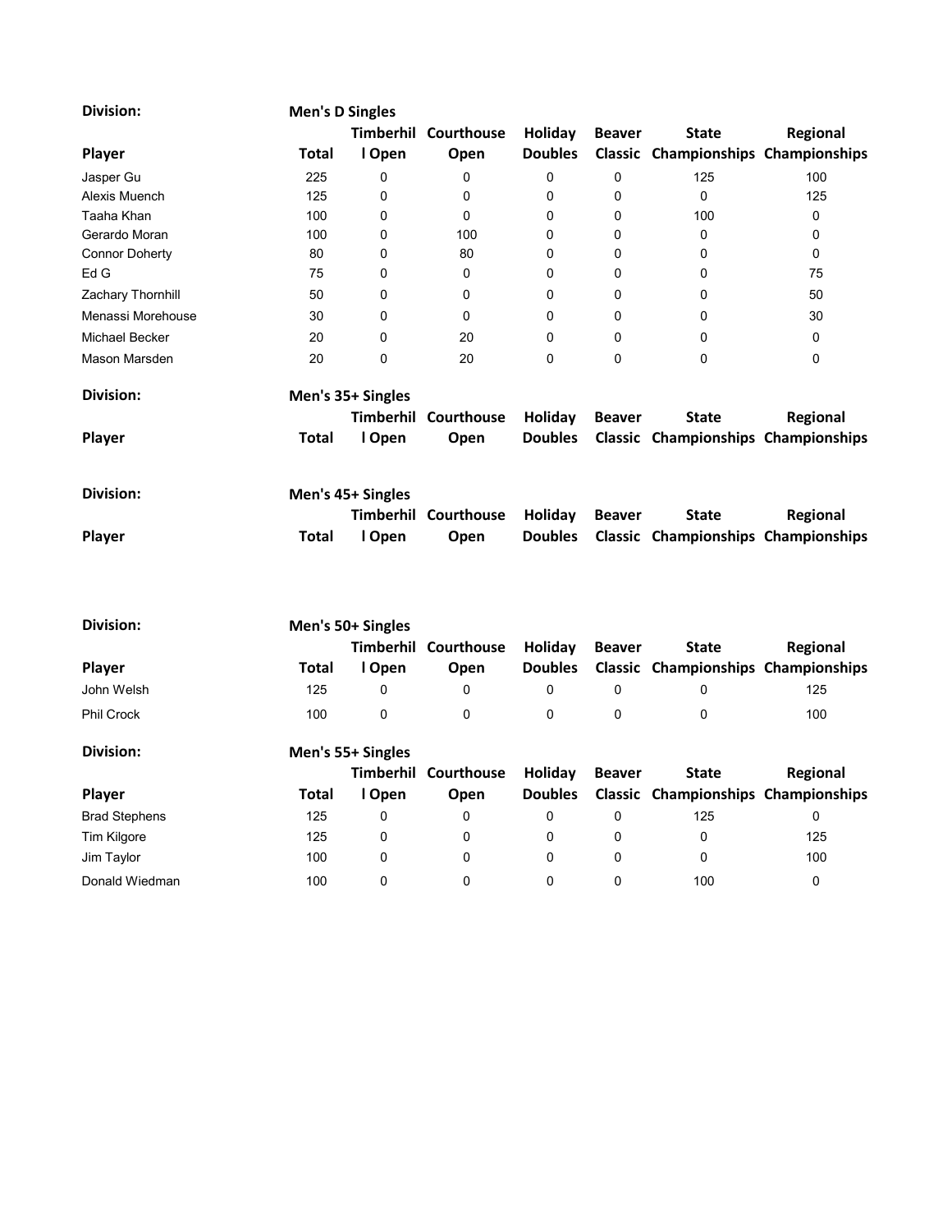| <b>Division:</b>      | <b>Men's D Singles</b> |                   |                             |                |               |                                     |             |
|-----------------------|------------------------|-------------------|-----------------------------|----------------|---------------|-------------------------------------|-------------|
|                       |                        | Timberhil         | Courthouse                  | Holiday        | <b>Beaver</b> | <b>State</b>                        | Regional    |
| Player                | Total                  | I Open            | Open                        | <b>Doubles</b> |               | Classic Championships Championships |             |
| Jasper Gu             | 225                    | 0                 | 0                           | 0              | 0             | 125                                 | 100         |
| Alexis Muench         | 125                    | $\Omega$          | $\Omega$                    | 0              | 0             | $\mathbf{0}$                        | 125         |
| Taaha Khan            | 100                    | 0                 | 0                           | 0              | 0             | 100                                 | 0           |
| Gerardo Moran         | 100                    | 0                 | 100                         | 0              | 0             | 0                                   | 0           |
| <b>Connor Doherty</b> | 80                     | 0                 | 80                          | 0              | 0             | 0                                   | 0           |
| Ed G                  | 75                     | 0                 | 0                           | 0              | $\mathbf{0}$  | $\Omega$                            | 75          |
| Zachary Thornhill     | 50                     | 0                 | 0                           | 0              | 0             | 0                                   | 50          |
| Menassi Morehouse     | 30                     | 0                 | 0                           | 0              | 0             | 0                                   | 30          |
| <b>Michael Becker</b> | 20                     | 0                 | 20                          | 0              | 0             | 0                                   | 0           |
| Mason Marsden         | 20                     | 0                 | 20                          | $\mathbf 0$    | $\Omega$      | $\mathbf 0$                         | $\mathbf 0$ |
| <b>Division:</b>      |                        | Men's 35+ Singles |                             |                |               |                                     |             |
|                       |                        | <b>Timberhil</b>  | Courthouse                  | Holiday        | <b>Beaver</b> | <b>State</b>                        | Regional    |
| Player                | <b>Total</b>           | I Open            | Open                        | <b>Doubles</b> |               | Classic Championships Championships |             |
| <b>Division:</b>      |                        | Men's 45+ Singles |                             |                |               |                                     |             |
|                       |                        |                   | <b>Timberhil Courthouse</b> | Holiday        | <b>Beaver</b> | <b>State</b>                        | Regional    |
|                       |                        |                   |                             |                |               |                                     |             |
| Player                | <b>Total</b>           | I Open            | Open                        | <b>Doubles</b> |               | Classic Championships Championships |             |
| <b>Division:</b>      |                        | Men's 50+ Singles |                             |                |               |                                     |             |
|                       |                        |                   | Timberhil Courthouse        | Holiday        | <b>Beaver</b> | <b>State</b>                        | Regional    |
| Player                | <b>Total</b>           | I Open            | Open                        | <b>Doubles</b> |               | Classic Championships Championships |             |
| John Welsh            | 125                    | 0                 | $\mathbf 0$                 | 0              | 0             | 0                                   | 125         |
| <b>Phil Crock</b>     | 100                    | 0                 | $\mathbf 0$                 | 0              | 0             | 0                                   | 100         |
| <b>Division:</b>      |                        | Men's 55+ Singles |                             |                |               |                                     |             |
|                       |                        |                   | Timberhil Courthouse        | Holiday        | <b>Beaver</b> | <b>State</b>                        | Regional    |
| Player                | <b>Total</b>           | I Open            | Open                        | <b>Doubles</b> |               | Classic Championships Championships |             |
| <b>Brad Stephens</b>  | 125                    | 0                 | 0                           | 0              | 0             | 125                                 | $\mathbf 0$ |
| <b>Tim Kilgore</b>    | 125                    | 0                 | 0                           | 0              | 0             | 0                                   | 125         |
| Jim Taylor            | 100                    | 0                 | $\Omega$                    | $\Omega$       | $\Omega$      | $\Omega$                            | 100         |

Donald Wiedman 100 0 0 0 0 0 100 0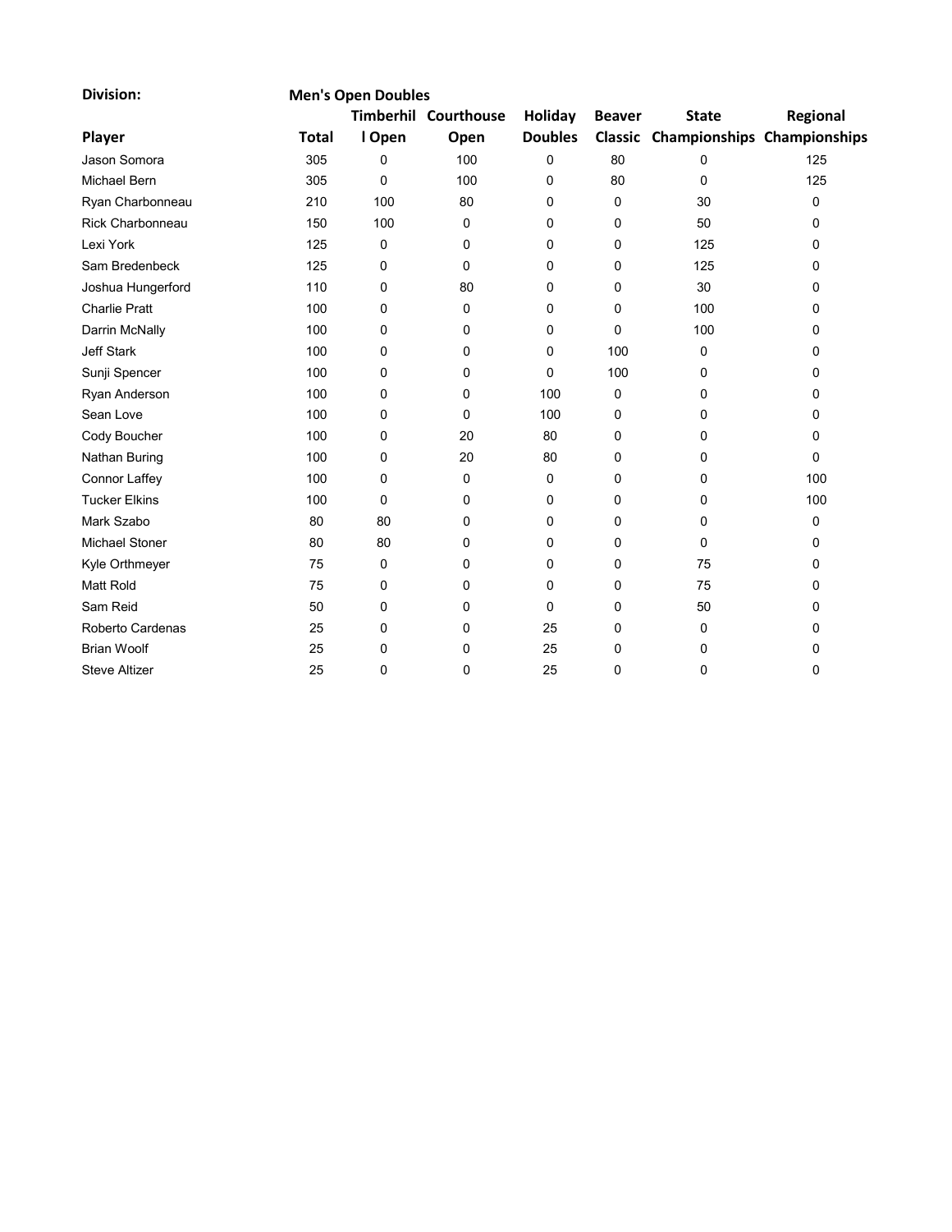| <b>Division:</b>      |              | <b>Men's Open Doubles</b> |                             |                |               |                                     |          |
|-----------------------|--------------|---------------------------|-----------------------------|----------------|---------------|-------------------------------------|----------|
|                       |              |                           | <b>Timberhil Courthouse</b> | Holiday        | <b>Beaver</b> | <b>State</b>                        | Regional |
| Player                | <b>Total</b> | I Open                    | Open                        | <b>Doubles</b> |               | Classic Championships Championships |          |
| Jason Somora          | 305          | 0                         | 100                         | 0              | 80            | 0                                   | 125      |
| Michael Bern          | 305          | 0                         | 100                         | 0              | 80            | 0                                   | 125      |
| Ryan Charbonneau      | 210          | 100                       | 80                          | 0              | 0             | 30                                  | 0        |
| Rick Charbonneau      | 150          | 100                       | 0                           | 0              | 0             | 50                                  | 0        |
| Lexi York             | 125          | 0                         | 0                           | 0              | 0             | 125                                 | 0        |
| Sam Bredenbeck        | 125          | 0                         | 0                           | 0              | 0             | 125                                 | 0        |
| Joshua Hungerford     | 110          | 0                         | 80                          | 0              | 0             | 30                                  | 0        |
| <b>Charlie Pratt</b>  | 100          | 0                         | 0                           | 0              | 0             | 100                                 | 0        |
| Darrin McNally        | 100          | 0                         | 0                           | 0              | 0             | 100                                 | 0        |
| <b>Jeff Stark</b>     | 100          | 0                         | 0                           | 0              | 100           | 0                                   | 0        |
| Sunji Spencer         | 100          | 0                         | 0                           | 0              | 100           | 0                                   | 0        |
| Ryan Anderson         | 100          | 0                         | 0                           | 100            | 0             | 0                                   | 0        |
| Sean Love             | 100          | 0                         | 0                           | 100            | 0             | 0                                   | 0        |
| Cody Boucher          | 100          | 0                         | 20                          | 80             | 0             | 0                                   | 0        |
| Nathan Buring         | 100          | 0                         | 20                          | 80             | 0             | 0                                   | 0        |
| <b>Connor Laffey</b>  | 100          | 0                         | 0                           | 0              | 0             | 0                                   | 100      |
| <b>Tucker Elkins</b>  | 100          | 0                         | 0                           | 0              | 0             | 0                                   | 100      |
| Mark Szabo            | 80           | 80                        | 0                           | 0              | 0             | 0                                   | 0        |
| <b>Michael Stoner</b> | 80           | 80                        | 0                           | 0              | 0             | 0                                   | 0        |
| Kyle Orthmeyer        | 75           | 0                         | 0                           | 0              | 0             | 75                                  | 0        |
| <b>Matt Rold</b>      | 75           | 0                         | 0                           | 0              | 0             | 75                                  | 0        |
| Sam Reid              | 50           | 0                         | 0                           | 0              | 0             | 50                                  | 0        |
| Roberto Cardenas      | 25           | 0                         | 0                           | 25             | 0             | 0                                   | 0        |
| <b>Brian Woolf</b>    | 25           | 0                         | 0                           | 25             | 0             | 0                                   | 0        |
| <b>Steve Altizer</b>  | 25           | 0                         | 0                           | 25             | 0             | 0                                   | 0        |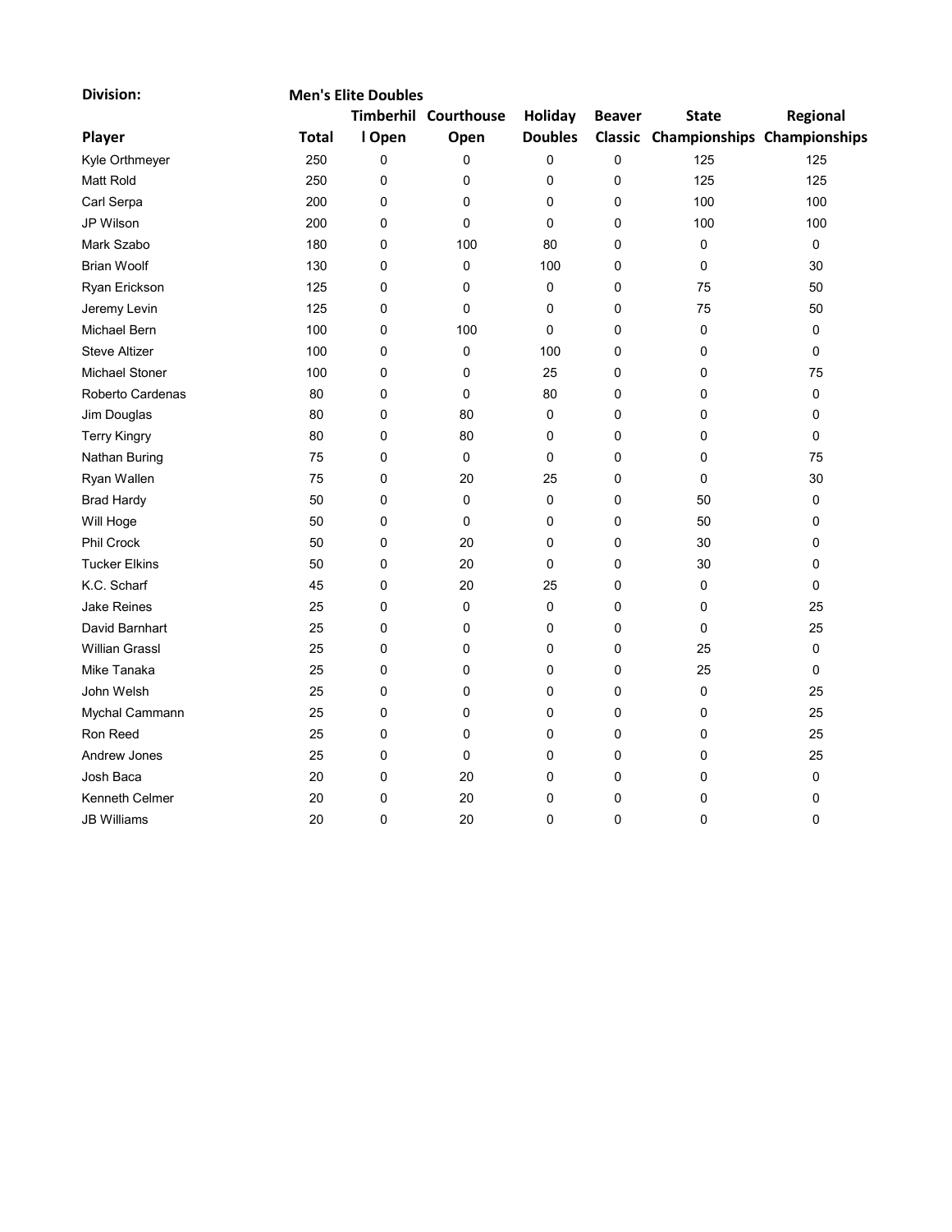| <b>Division:</b>      |              | <b>Men's Elite Doubles</b> |                      |                |               |                                     |             |  |  |  |  |
|-----------------------|--------------|----------------------------|----------------------|----------------|---------------|-------------------------------------|-------------|--|--|--|--|
|                       |              |                            | Timberhil Courthouse | Holiday        | <b>Beaver</b> | <b>State</b>                        | Regional    |  |  |  |  |
| Player                | <b>Total</b> | I Open                     | Open                 | <b>Doubles</b> |               | Classic Championships Championships |             |  |  |  |  |
| Kyle Orthmeyer        | 250          | 0                          | 0                    | 0              | 0             | 125                                 | 125         |  |  |  |  |
| Matt Rold             | 250          | 0                          | 0                    | 0              | 0             | 125                                 | 125         |  |  |  |  |
| Carl Serpa            | 200          | 0                          | 0                    | 0              | 0             | 100                                 | 100         |  |  |  |  |
| JP Wilson             | 200          | 0                          | 0                    | 0              | 0             | 100                                 | 100         |  |  |  |  |
| Mark Szabo            | 180          | 0                          | 100                  | 80             | 0             | $\mathbf 0$                         | 0           |  |  |  |  |
| <b>Brian Woolf</b>    | 130          | 0                          | 0                    | 100            | 0             | 0                                   | 30          |  |  |  |  |
| Ryan Erickson         | 125          | 0                          | 0                    | 0              | 0             | 75                                  | 50          |  |  |  |  |
| Jeremy Levin          | 125          | 0                          | 0                    | 0              | 0             | 75                                  | 50          |  |  |  |  |
| Michael Bern          | 100          | 0                          | 100                  | 0              | 0             | 0                                   | 0           |  |  |  |  |
| <b>Steve Altizer</b>  | 100          | 0                          | 0                    | 100            | 0             | 0                                   | 0           |  |  |  |  |
| Michael Stoner        | 100          | 0                          | 0                    | 25             | 0             | 0                                   | 75          |  |  |  |  |
| Roberto Cardenas      | 80           | 0                          | 0                    | 80             | 0             | 0                                   | 0           |  |  |  |  |
| Jim Douglas           | 80           | 0                          | 80                   | 0              | 0             | 0                                   | 0           |  |  |  |  |
| <b>Terry Kingry</b>   | 80           | 0                          | 80                   | 0              | 0             | 0                                   | 0           |  |  |  |  |
| Nathan Buring         | 75           | 0                          | 0                    | 0              | 0             | 0                                   | 75          |  |  |  |  |
| Ryan Wallen           | 75           | 0                          | 20                   | 25             | 0             | 0                                   | 30          |  |  |  |  |
| <b>Brad Hardy</b>     | 50           | 0                          | 0                    | 0              | 0             | 50                                  | 0           |  |  |  |  |
| Will Hoge             | 50           | 0                          | 0                    | 0              | 0             | 50                                  | 0           |  |  |  |  |
| Phil Crock            | 50           | 0                          | 20                   | 0              | 0             | 30                                  | 0           |  |  |  |  |
| <b>Tucker Elkins</b>  | 50           | 0                          | 20                   | 0              | 0             | 30                                  | 0           |  |  |  |  |
| K.C. Scharf           | 45           | 0                          | 20                   | 25             | 0             | 0                                   | $\Omega$    |  |  |  |  |
| <b>Jake Reines</b>    | 25           | 0                          | 0                    | $\mathbf 0$    | 0             | 0                                   | 25          |  |  |  |  |
| David Barnhart        | 25           | 0                          | 0                    | 0              | 0             | $\mathbf 0$                         | 25          |  |  |  |  |
| <b>Willian Grassl</b> | 25           | 0                          | 0                    | 0              | 0             | 25                                  | 0           |  |  |  |  |
| Mike Tanaka           | 25           | 0                          | 0                    | 0              | 0             | 25                                  | $\mathbf 0$ |  |  |  |  |
| John Welsh            | 25           | 0                          | 0                    | 0              | 0             | $\mathbf 0$                         | 25          |  |  |  |  |
| Mychal Cammann        | 25           | 0                          | 0                    | 0              | 0             | 0                                   | 25          |  |  |  |  |
| Ron Reed              | 25           | 0                          | 0                    | 0              | 0             | 0                                   | 25          |  |  |  |  |
| Andrew Jones          | 25           | 0                          | 0                    | $\mathbf 0$    | 0             | 0                                   | 25          |  |  |  |  |
| Josh Baca             | 20           | 0                          | 20                   | 0              | 0             | 0                                   | 0           |  |  |  |  |
| Kenneth Celmer        | 20           | 0                          | 20                   | 0              | 0             | 0                                   | 0           |  |  |  |  |
| <b>JB Williams</b>    | 20           | 0                          | 20                   | $\mathbf{0}$   | $\mathbf{0}$  | 0                                   | $\Omega$    |  |  |  |  |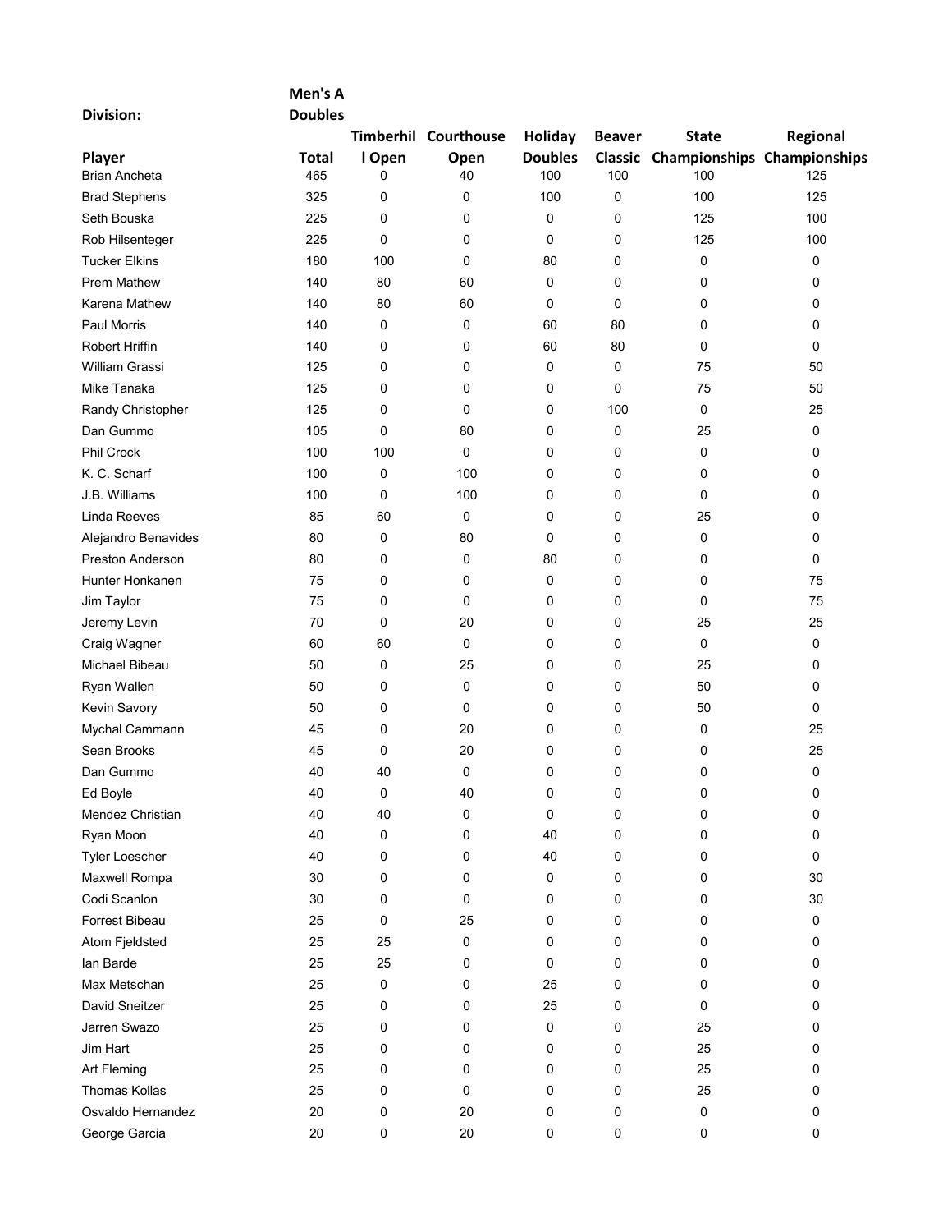## Men's A

Division:

| <b>Doubles</b> |  |
|----------------|--|

|                         |              |        | Timberhil Courthouse | <b>Holiday</b> | <b>Beaver</b> | <b>State</b>                        | Regional    |
|-------------------------|--------------|--------|----------------------|----------------|---------------|-------------------------------------|-------------|
| Player                  | <b>Total</b> | I Open | Open                 | <b>Doubles</b> |               | Classic Championships Championships |             |
| <b>Brian Ancheta</b>    | 465          | 0      | 40                   | 100            | 100           | 100                                 | 125         |
| <b>Brad Stephens</b>    | 325          | 0      | 0                    | 100            | 0             | 100                                 | 125         |
| Seth Bouska             | 225          | 0      | 0                    | 0              | 0             | 125                                 | 100         |
| Rob Hilsenteger         | 225          | 0      | 0                    | 0              | 0             | 125                                 | 100         |
| <b>Tucker Elkins</b>    | 180          | 100    | 0                    | 80             | 0             | 0                                   | 0           |
| <b>Prem Mathew</b>      | 140          | 80     | 60                   | 0              | 0             | 0                                   | 0           |
| Karena Mathew           | 140          | 80     | 60                   | 0              | 0             | 0                                   | 0           |
| <b>Paul Morris</b>      | 140          | 0      | 0                    | 60             | 80            | 0                                   | 0           |
| <b>Robert Hriffin</b>   | 140          | 0      | 0                    | 60             | 80            | 0                                   | $\mathbf 0$ |
| William Grassi          | 125          | 0      | 0                    | 0              | 0             | 75                                  | 50          |
| Mike Tanaka             | 125          | 0      | 0                    | 0              | 0             | 75                                  | 50          |
| Randy Christopher       | 125          | 0      | 0                    | 0              | 100           | 0                                   | 25          |
| Dan Gummo               | 105          | 0      | 80                   | 0              | 0             | 25                                  | 0           |
| <b>Phil Crock</b>       | 100          | 100    | 0                    | 0              | 0             | 0                                   | 0           |
| K. C. Scharf            | 100          | 0      | 100                  | 0              | 0             | 0                                   | 0           |
| J.B. Williams           | 100          | 0      | 100                  | 0              | 0             | 0                                   | 0           |
| <b>Linda Reeves</b>     | 85           | 60     | 0                    | 0              | 0             | 25                                  | 0           |
| Alejandro Benavides     | 80           | 0      | 80                   | 0              | 0             | 0                                   | $\mathbf 0$ |
| <b>Preston Anderson</b> | 80           | 0      | 0                    | 80             | 0             | 0                                   | $\mathbf 0$ |
| Hunter Honkanen         | 75           | 0      | 0                    | 0              | 0             | 0                                   | 75          |
| Jim Taylor              | 75           | 0      | 0                    | 0              | 0             | 0                                   | 75          |
| Jeremy Levin            | 70           | 0      | 20                   | 0              | 0             | 25                                  | 25          |
| Craig Wagner            | 60           | 60     | 0                    | 0              | 0             | 0                                   | 0           |
| Michael Bibeau          | 50           | 0      | 25                   | 0              | 0             | 25                                  | 0           |
| Ryan Wallen             | 50           | 0      | 0                    | 0              | 0             | 50                                  | $\mathbf 0$ |
| Kevin Savory            | 50           | 0      | 0                    | 0              | 0             | 50                                  | 0           |
| Mychal Cammann          | 45           | 0      | 20                   | 0              | 0             | 0                                   | 25          |
| Sean Brooks             | 45           | 0      | 20                   | 0              | 0             | 0                                   | 25          |
| Dan Gummo               | 40           | 40     | $\mathbf 0$          | 0              | 0             | 0                                   | 0           |
| Ed Boyle                | 40           | 0      | 40                   | 0              | 0             | 0                                   | 0           |
| Mendez Christian        | 40           | 40     | 0                    | 0              | 0             | 0                                   | $\mathbf 0$ |
| Ryan Moon               | 40           | 0      | 0                    | 40             | 0             | 0                                   | 0           |
| Tyler Loescher          | 40           | 0      | 0                    | 40             | 0             | 0                                   | 0           |
| Maxwell Rompa           | 30           | 0      | 0                    | 0              | 0             | 0                                   | 30          |
| Codi Scanlon            | 30           | 0      | 0                    | 0              | 0             | 0                                   | 30          |
| Forrest Bibeau          | 25           | 0      | 25                   | 0              | 0             | 0                                   | 0           |
| Atom Fjeldsted          | 25           | 25     | 0                    | 0              | 0             | 0                                   | 0           |
| lan Barde               | 25           | 25     | 0                    | 0              | 0             | 0                                   | 0           |
| Max Metschan            | 25           | 0      | 0                    | 25             | 0             | 0                                   | 0           |
| David Sneitzer          | 25           | 0      | 0                    | 25             | 0             | 0                                   | 0           |
| Jarren Swazo            | 25           | 0      | 0                    | 0              | 0             | 25                                  | 0           |
| Jim Hart                | 25           | 0      | 0                    | 0              | 0             | 25                                  | 0           |
| Art Fleming             | 25           | 0      | 0                    | 0              | 0             | 25                                  | 0           |
| Thomas Kollas           | 25           | 0      | 0                    | 0              | 0             | 25                                  | 0           |
| Osvaldo Hernandez       | 20           | 0      | 20                   | 0              | 0             | 0                                   | 0           |
| George Garcia           | 20           | 0      | 20                   | 0              | 0             | 0                                   | 0           |
|                         |              |        |                      |                |               |                                     |             |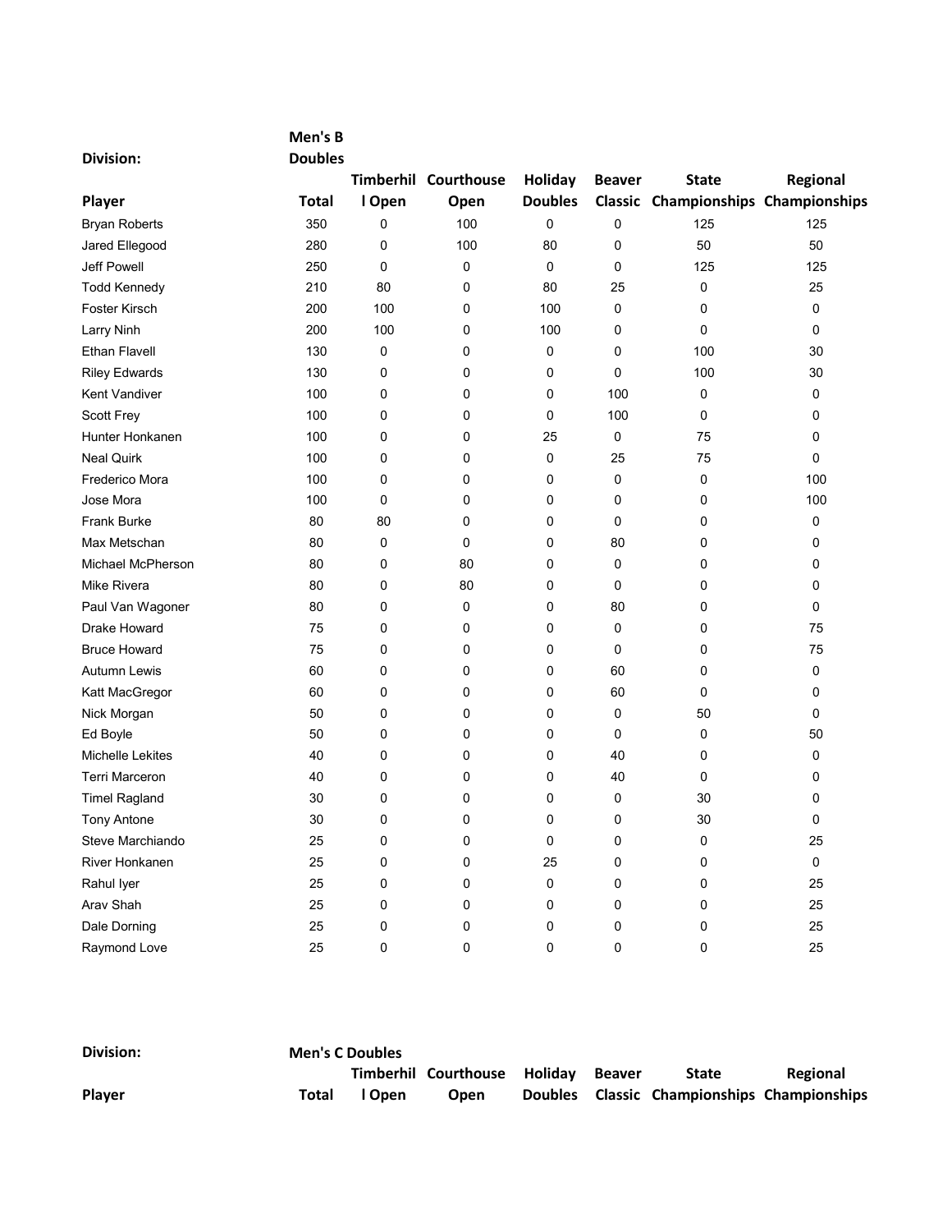| <b>Division:</b>         | <b>Doubles</b> |        |                      |                |               |                                     |             |
|--------------------------|----------------|--------|----------------------|----------------|---------------|-------------------------------------|-------------|
|                          |                |        | Timberhil Courthouse | Holiday        | <b>Beaver</b> | <b>State</b>                        | Regional    |
| Player                   | <b>Total</b>   | I Open | Open                 | <b>Doubles</b> |               | Classic Championships Championships |             |
| <b>Bryan Roberts</b>     | 350            | 0      | 100                  | 0              | 0             | 125                                 | 125         |
| Jared Ellegood           | 280            | 0      | 100                  | 80             | 0             | 50                                  | 50          |
| Jeff Powell              | 250            | 0      | 0                    | 0              | 0             | 125                                 | 125         |
| <b>Todd Kennedy</b>      | 210            | 80     | 0                    | 80             | 25            | 0                                   | 25          |
| Foster Kirsch            | 200            | 100    | 0                    | 100            | 0             | 0                                   | 0           |
| Larry Ninh               | 200            | 100    | 0                    | 100            | 0             | 0                                   | 0           |
| <b>Ethan Flavell</b>     | 130            | 0      | 0                    | 0              | 0             | 100                                 | 30          |
| <b>Riley Edwards</b>     | 130            | 0      | 0                    | 0              | $\mathbf 0$   | 100                                 | 30          |
| Kent Vandiver            | 100            | 0      | 0                    | 0              | 100           | 0                                   | 0           |
| <b>Scott Frey</b>        | 100            | 0      | 0                    | 0              | 100           | 0                                   | $\mathbf 0$ |
| Hunter Honkanen          | 100            | 0      | 0                    | 25             | 0             | 75                                  | 0           |
| <b>Neal Quirk</b>        | 100            | 0      | 0                    | 0              | 25            | 75                                  | 0           |
| Frederico Mora           | 100            | 0      | 0                    | 0              | 0             | 0                                   | 100         |
| Jose Mora                | 100            | 0      | 0                    | 0              | 0             | 0                                   | 100         |
| <b>Frank Burke</b>       | 80             | 80     | 0                    | 0              | 0             | 0                                   | 0           |
| Max Metschan             | 80             | 0      | 0                    | 0              | 80            | 0                                   | 0           |
| <b>Michael McPherson</b> | 80             | 0      | 80                   | 0              | 0             | 0                                   | 0           |
| Mike Rivera              | 80             | 0      | 80                   | 0              | 0             | 0                                   | 0           |
| Paul Van Wagoner         | 80             | 0      | 0                    | 0              | 80            | 0                                   | 0           |
| Drake Howard             | 75             | 0      | 0                    | 0              | 0             | 0                                   | 75          |
| <b>Bruce Howard</b>      | 75             | 0      | 0                    | 0              | 0             | 0                                   | 75          |
| <b>Autumn Lewis</b>      | 60             | 0      | 0                    | 0              | 60            | 0                                   | 0           |
| Katt MacGregor           | 60             | 0      | 0                    | 0              | 60            | 0                                   | 0           |
| Nick Morgan              | 50             | 0      | 0                    | 0              | 0             | 50                                  | 0           |
| Ed Boyle                 | 50             | 0      | 0                    | 0              | 0             | 0                                   | 50          |
| Michelle Lekites         | 40             | 0      | 0                    | 0              | 40            | 0                                   | 0           |
| <b>Terri Marceron</b>    | 40             | 0      | $\mathbf 0$          | 0              | 40            | 0                                   | $\mathbf 0$ |
| <b>Timel Ragland</b>     | 30             | 0      | $\mathbf 0$          | 0              | $\mathbf 0$   | 30                                  | $\mathbf 0$ |
| <b>Tony Antone</b>       | 30             | 0      | 0                    | 0              | 0             | 30                                  | 0           |
| Steve Marchiando         | 25             | 0      | 0                    | 0              | 0             | 0                                   | 25          |
| <b>River Honkanen</b>    | 25             | 0      | 0                    | 25             | 0             | 0                                   | 0           |
| Rahul Iyer               | 25             | 0      | 0                    | 0              | 0             | 0                                   | 25          |
| Arav Shah                | 25             | 0      | 0                    | 0              | 0             | 0                                   | 25          |
| Dale Dorning             | 25             | 0      | 0                    | 0              | 0             | 0                                   | 25          |
| Raymond Love             | 25             | 0      | $\mathbf{0}$         | $\mathbf{0}$   | $\mathbf{0}$  | $\mathbf 0$                         | 25          |

Men's B

| <b>Division:</b> | <b>Men's C Doubles</b> |        |                                     |  |  |                                             |          |  |  |
|------------------|------------------------|--------|-------------------------------------|--|--|---------------------------------------------|----------|--|--|
|                  |                        |        | Timberhil Courthouse Holiday Beaver |  |  | <b>State</b>                                | Regional |  |  |
| <b>Player</b>    | Total                  | l Open | Open                                |  |  | Doubles Classic Championships Championships |          |  |  |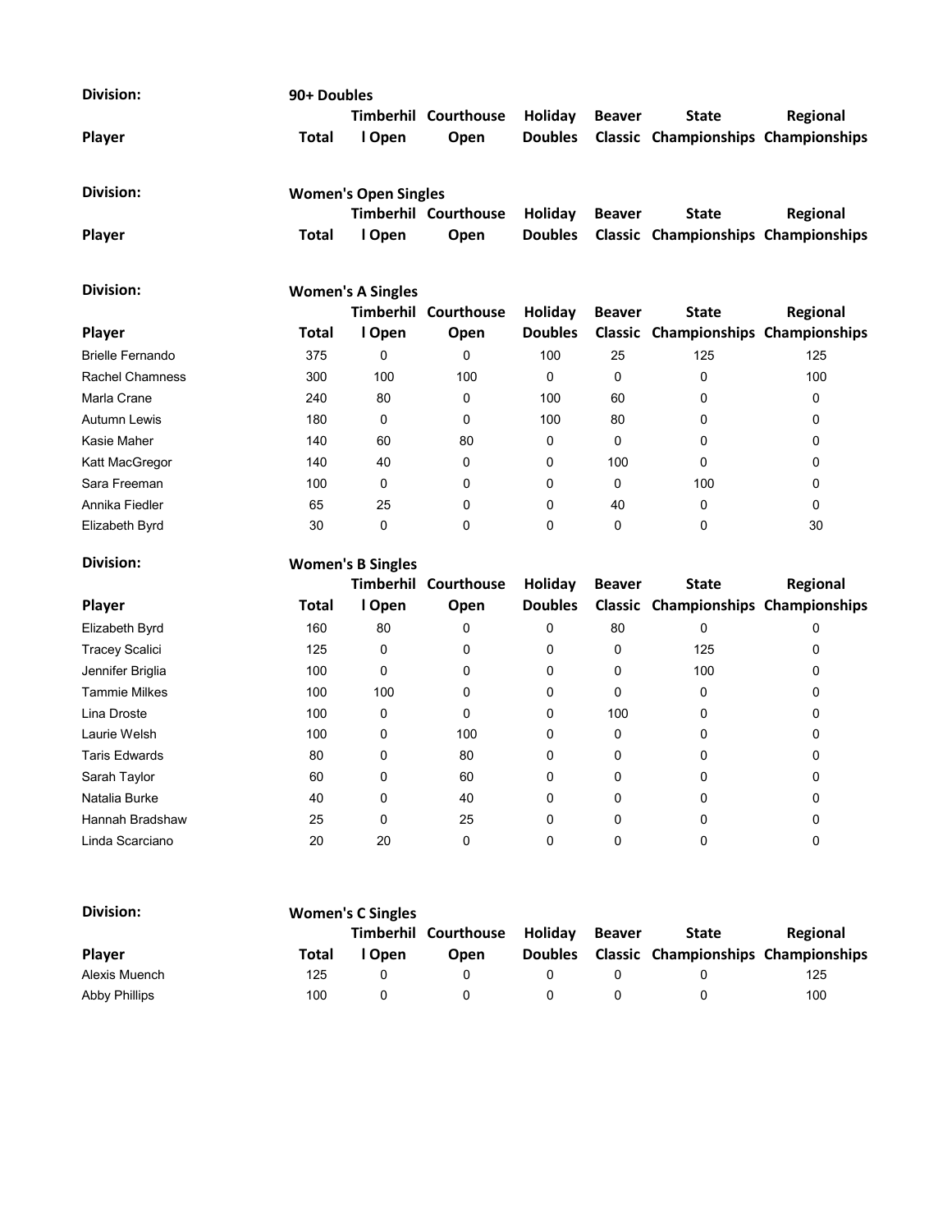| Division:               |                          | 90+ Doubles                 |                             |                |               |                                            |          |  |  |  |  |
|-------------------------|--------------------------|-----------------------------|-----------------------------|----------------|---------------|--------------------------------------------|----------|--|--|--|--|
|                         |                          | <b>Timberhil</b>            | Courthouse                  | Holiday        | <b>Beaver</b> | <b>State</b>                               | Regional |  |  |  |  |
| Player                  | Total                    | I Open                      | Open                        | <b>Doubles</b> |               | <b>Classic Championships Championships</b> |          |  |  |  |  |
| Division:               |                          | <b>Women's Open Singles</b> |                             |                |               |                                            |          |  |  |  |  |
|                         |                          |                             | <b>Timberhil Courthouse</b> | Holiday        | <b>Beaver</b> | <b>State</b>                               | Regional |  |  |  |  |
| Player                  | Total                    | I Open                      | Open                        | <b>Doubles</b> |               | <b>Classic Championships Championships</b> |          |  |  |  |  |
| Division:               | <b>Women's A Singles</b> |                             |                             |                |               |                                            |          |  |  |  |  |
|                         |                          | <b>Timberhil</b>            | Courthouse                  | Holiday        | <b>Beaver</b> | <b>State</b>                               | Regional |  |  |  |  |
| Player                  | Total                    | I Open                      | Open                        | <b>Doubles</b> |               | Classic Championships Championships        |          |  |  |  |  |
| <b>Brielle Fernando</b> | 375                      | 0                           | 0                           | 100            | 25            | 125                                        | 125      |  |  |  |  |
| <b>Rachel Chamness</b>  | 300                      | 100                         | 100                         | 0              | $\Omega$      | 0                                          | 100      |  |  |  |  |
| Marla Crane             | 240                      | 80                          | $\Omega$                    | 100            | 60            | 0                                          | 0        |  |  |  |  |
| <b>Autumn Lewis</b>     | 180                      | 0                           | 0                           | 100            | 80            | 0                                          | 0        |  |  |  |  |
| Kasie Maher             | 140                      | 60                          | 80                          | 0              | $\mathbf{0}$  | 0                                          | 0        |  |  |  |  |
| Katt MacGregor          | 140                      | 40                          | 0                           | 0              | 100           | 0                                          | 0        |  |  |  |  |
| Sara Freeman            | 100                      | $\Omega$                    | 0                           | 0              | $\Omega$      | 100                                        | 0        |  |  |  |  |
| Annika Fiedler          | 65                       | 25                          | 0                           | 0              | 40            | 0                                          | 0        |  |  |  |  |
| Elizabeth Byrd          | 30                       | 0                           | 0                           | 0              | 0             | 0                                          | 30       |  |  |  |  |

## Division: Women's B Singles

| <b>Player</b>         | Total | I Open | <b>Timberhil Courthouse</b><br>Open | Holiday<br><b>Doubles</b> | <b>Beaver</b> | <b>State</b><br>Classic Championships Championships | Regional |
|-----------------------|-------|--------|-------------------------------------|---------------------------|---------------|-----------------------------------------------------|----------|
|                       |       |        |                                     |                           |               |                                                     |          |
| Elizabeth Byrd        | 160   | 80     | 0                                   | 0                         | 80            | 0                                                   | 0        |
| <b>Tracey Scalici</b> | 125   | 0      | 0                                   | 0                         | 0             | 125                                                 | 0        |
| Jennifer Briglia      | 100   | 0      | 0                                   | 0                         | 0             | 100                                                 | 0        |
| <b>Tammie Milkes</b>  | 100   | 100    | 0                                   | 0                         | 0             | 0                                                   | 0        |
| Lina Droste           | 100   | 0      | 0                                   | 0                         | 100           | 0                                                   | 0        |
| Laurie Welsh          | 100   | 0      | 100                                 | 0                         | 0             |                                                     | 0        |
| <b>Taris Edwards</b>  | 80    | 0      | 80                                  | 0                         | 0             | 0                                                   | 0        |
| Sarah Taylor          | 60    | 0      | 60                                  | 0                         | 0             |                                                     | 0        |
| Natalia Burke         | 40    | 0      | 40                                  | 0                         | $\Omega$      |                                                     | 0        |
| Hannah Bradshaw       | 25    | 0      | 25                                  | 0                         | $\Omega$      | U                                                   | 0        |
| Linda Scarciano       | 20    | 20     | 0                                   | 0                         | 0             |                                                     | 0        |

| Division:            | <b>Women's C Singles</b> |           |            |                |               |                                            |          |  |  |
|----------------------|--------------------------|-----------|------------|----------------|---------------|--------------------------------------------|----------|--|--|
|                      |                          | Timberhil | Courthouse | <b>Holidav</b> | <b>Beaver</b> | <b>State</b>                               | Regional |  |  |
| <b>Player</b>        | Total                    | l Open    | Open       | <b>Doubles</b> |               | <b>Classic Championships Championships</b> |          |  |  |
| Alexis Muench        | 125                      |           |            |                |               |                                            | 125      |  |  |
| <b>Abby Phillips</b> | 100                      |           |            |                |               |                                            | 100      |  |  |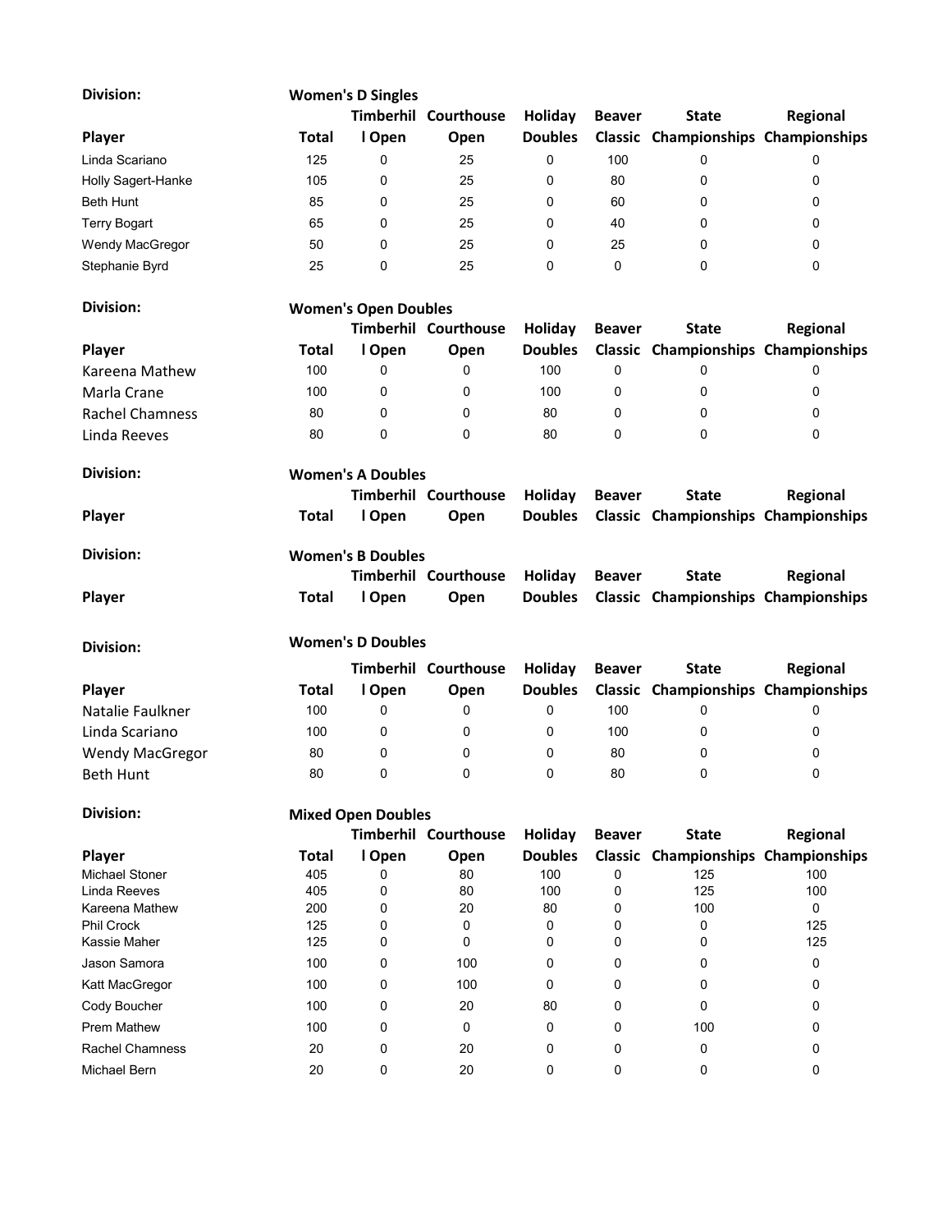| Division:                  |                           | <b>Women's D Singles</b>    |                             |                |               |                                            |            |
|----------------------------|---------------------------|-----------------------------|-----------------------------|----------------|---------------|--------------------------------------------|------------|
|                            |                           |                             | <b>Timberhil Courthouse</b> | Holiday        | <b>Beaver</b> | <b>State</b>                               | Regional   |
| Player                     | Total                     | I Open                      | Open                        | <b>Doubles</b> |               | Classic Championships Championships        |            |
| Linda Scariano             | 125                       | 0                           | 25                          | 0              | 100           | 0                                          | 0          |
| Holly Sagert-Hanke         | 105                       | 0                           | 25                          | 0              | 80            | 0                                          | 0          |
| <b>Beth Hunt</b>           | 85                        | 0                           | 25                          | 0              | 60            | 0                                          | 0          |
| <b>Terry Bogart</b>        | 65                        | 0                           | 25                          | 0              | 40            | 0                                          | 0          |
| Wendy MacGregor            | 50                        | 0                           | 25                          | 0              | 25            | 0                                          | 0          |
| Stephanie Byrd             | 25                        | 0                           | 25                          | 0              | 0             | 0                                          | 0          |
| Division:                  |                           | <b>Women's Open Doubles</b> |                             |                |               |                                            |            |
|                            |                           |                             | <b>Timberhil Courthouse</b> | Holiday        | <b>Beaver</b> | <b>State</b>                               | Regional   |
| Player                     | <b>Total</b>              | I Open                      | Open                        | <b>Doubles</b> |               | <b>Classic Championships Championships</b> |            |
|                            | 100                       | 0                           | 0                           | 100            | 0             | 0                                          | 0          |
| Kareena Mathew             |                           |                             |                             |                |               |                                            |            |
| Marla Crane                | 100                       | 0                           | 0                           | 100            | 0             | 0                                          | 0          |
| <b>Rachel Chamness</b>     | 80                        | 0                           | 0                           | 80             | 0             | 0                                          | 0          |
| Linda Reeves               | 80                        | 0                           | 0                           | 80             | 0             | 0                                          | 0          |
| <b>Division:</b>           |                           | <b>Women's A Doubles</b>    |                             |                |               |                                            |            |
|                            |                           |                             | <b>Timberhil Courthouse</b> | Holiday        | <b>Beaver</b> | <b>State</b>                               | Regional   |
| Player                     | <b>Total</b>              | I Open                      | Open                        | <b>Doubles</b> |               | Classic Championships Championships        |            |
| <b>Division:</b>           |                           | <b>Women's B Doubles</b>    |                             |                |               |                                            |            |
|                            |                           |                             | <b>Timberhil Courthouse</b> | Holiday        | <b>Beaver</b> | <b>State</b>                               | Regional   |
| Player                     | <b>Total</b>              | I Open                      | Open                        | <b>Doubles</b> |               | Classic Championships Championships        |            |
|                            |                           | <b>Women's D Doubles</b>    |                             |                |               |                                            |            |
| Division:                  |                           |                             | <b>Timberhil Courthouse</b> | Holiday        | <b>Beaver</b> | <b>State</b>                               | Regional   |
| Player                     | <b>Total</b>              | I Open                      | Open                        | <b>Doubles</b> |               | Classic Championships Championships        |            |
|                            | 100                       | 0                           | 0                           | 0              | 100           |                                            |            |
| Natalie Faulkner           |                           |                             |                             |                |               | 0                                          | 0          |
| Linda Scariano             | 100                       | 0                           | 0                           | 0              | 100           | 0                                          | 0          |
| <b>Wendy MacGregor</b>     | 80                        | 0                           | 0                           | 0              | 80            | 0                                          | 0          |
| Beth Hunt                  | 80                        | 0                           | 0                           | 0              | 80            | 0                                          | 0          |
| <b>Division:</b>           | <b>Mixed Open Doubles</b> |                             |                             |                |               |                                            |            |
|                            |                           |                             | <b>Timberhil Courthouse</b> | Holiday        | <b>Beaver</b> | <b>State</b>                               | Regional   |
| Player                     | <b>Total</b>              | I Open                      | Open                        | <b>Doubles</b> |               | <b>Classic Championships Championships</b> |            |
| <b>Michael Stoner</b>      | 405                       | 0                           | 80                          | 100            | 0             | 125                                        | 100        |
| Linda Reeves               | 405                       | 0                           | 80                          | 100            | 0             | 125                                        | 100        |
| Kareena Mathew             | 200                       | 0                           | 20                          | 80             | 0             | 100                                        | 0          |
| Phil Crock<br>Kassie Maher | 125<br>125                | 0<br>0                      | 0<br>0                      | 0<br>0         | 0<br>0        | 0<br>0                                     | 125<br>125 |
|                            |                           |                             |                             |                |               |                                            |            |
| Jason Samora               | 100                       | 0                           | 100                         | 0              | 0             | 0                                          | 0          |
| Katt MacGregor             | 100                       | 0                           | 100                         | 0              | 0             | 0                                          | 0          |
| Cody Boucher               | 100                       | 0                           | 20                          | 80             | 0             | 0                                          | 0          |
| <b>Prem Mathew</b>         | 100                       | 0                           | 0                           | 0              | 0             | 100                                        | 0          |
| <b>Rachel Chamness</b>     | 20                        | 0                           | 20                          | 0              | 0             | 0                                          | 0          |
| Michael Bern               | 20                        | 0                           | 20                          | 0              | 0             | 0                                          | 0          |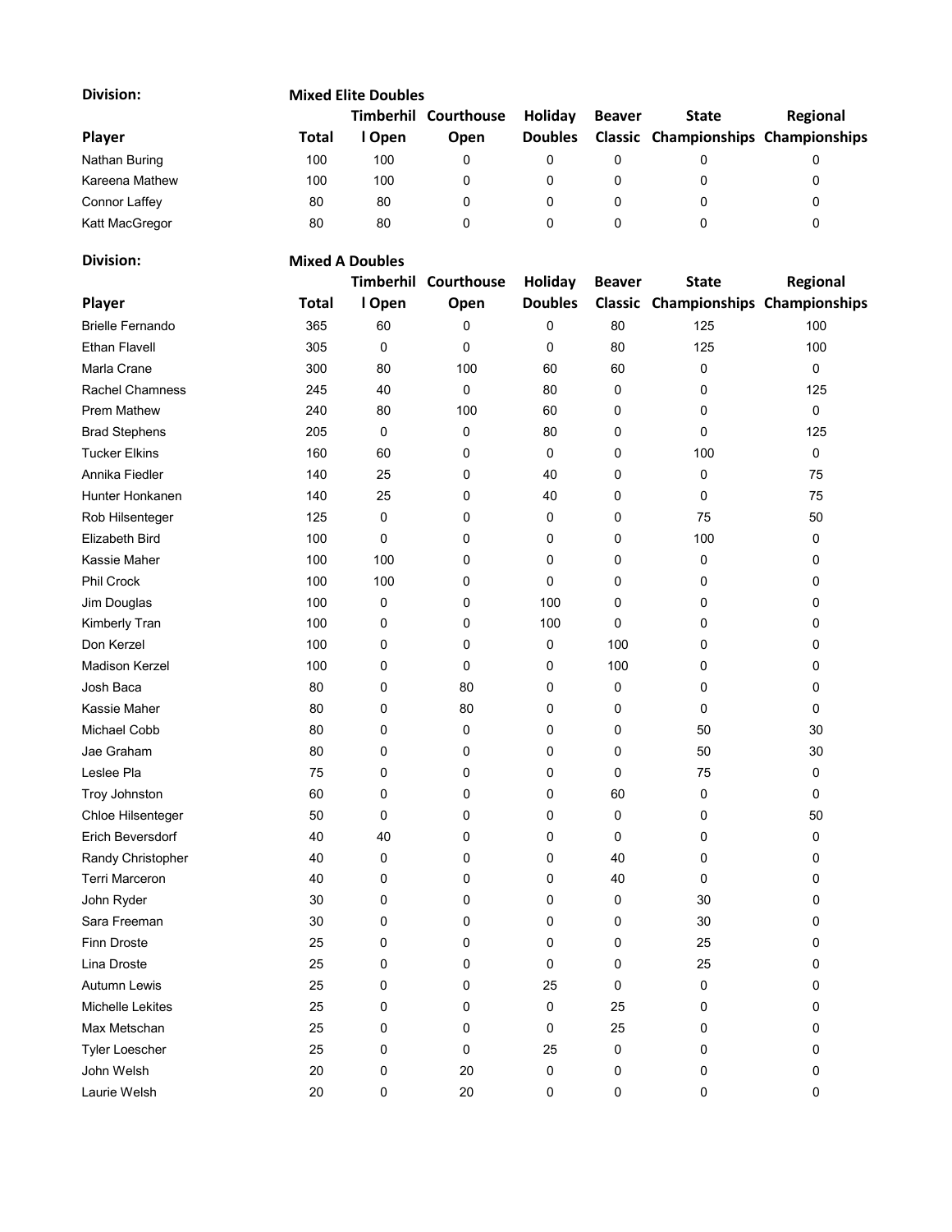| <b>Division:</b>        |              | <b>Mixed Elite Doubles</b> |                      |                |               |                                     |          |
|-------------------------|--------------|----------------------------|----------------------|----------------|---------------|-------------------------------------|----------|
|                         |              |                            | Timberhil Courthouse | Holiday        | <b>Beaver</b> | <b>State</b>                        | Regional |
| Player                  | <b>Total</b> | I Open                     | Open                 | <b>Doubles</b> |               | Classic Championships Championships |          |
| Nathan Buring           | 100          | 100                        | 0                    | 0              | 0             | 0                                   | 0        |
| Kareena Mathew          | 100          | 100                        | 0                    | 0              | 0             | 0                                   | 0        |
| <b>Connor Laffey</b>    | 80           | 80                         | 0                    | 0              | 0             | 0                                   | 0        |
| Katt MacGregor          | 80           | 80                         | 0                    | 0              | 0             | 0                                   | 0        |
| <b>Division:</b>        |              | <b>Mixed A Doubles</b>     |                      |                |               |                                     |          |
|                         |              | Timberhil                  | Courthouse           | Holiday        | <b>Beaver</b> | <b>State</b>                        | Regional |
| Player                  | <b>Total</b> | I Open                     | Open                 | <b>Doubles</b> |               | Classic Championships Championships |          |
| <b>Brielle Fernando</b> | 365          | 60                         | 0                    | 0              | 80            | 125                                 | 100      |
| <b>Ethan Flavell</b>    | 305          | 0                          | 0                    | 0              | 80            | 125                                 | 100      |
| Marla Crane             | 300          | 80                         | 100                  | 60             | 60            | 0                                   | 0        |
| <b>Rachel Chamness</b>  | 245          | 40                         | 0                    | 80             | 0             | 0                                   | 125      |
| <b>Prem Mathew</b>      | 240          | 80                         | 100                  | 60             | 0             | 0                                   | $\Omega$ |
| <b>Brad Stephens</b>    | 205          | 0                          | 0                    | 80             | 0             | 0                                   | 125      |
| <b>Tucker Elkins</b>    | 160          | 60                         | 0                    | 0              | 0             | 100                                 | 0        |
| Annika Fiedler          | 140          | 25                         | 0                    | 40             | 0             | 0                                   | 75       |
| Hunter Honkanen         | 140          | 25                         | 0                    | 40             | 0             | 0                                   | 75       |
| Rob Hilsenteger         | 125          | 0                          | 0                    | 0              | 0             | 75                                  | 50       |
| Elizabeth Bird          | 100          | 0                          | 0                    | 0              | 0             | 100                                 | 0        |
| Kassie Maher            | 100          | 100                        | 0                    | 0              | 0             | 0                                   | 0        |
| <b>Phil Crock</b>       | 100          | 100                        | 0                    | 0              | 0             | 0                                   | 0        |
| Jim Douglas             | 100          | 0                          | 0                    | 100            | 0             | 0                                   | 0        |
| Kimberly Tran           | 100          | 0                          | 0                    | 100            | 0             | 0                                   | 0        |
| Don Kerzel              | 100          | 0                          | 0                    | 0              | 100           | 0                                   | 0        |
| <b>Madison Kerzel</b>   | 100          | 0                          | 0                    | 0              | 100           | 0                                   | 0        |
| Josh Baca               | 80           | 0                          | 80                   | 0              | 0             | 0                                   | 0        |
| Kassie Maher            | 80           | 0                          | 80                   | 0              | 0             | 0                                   | 0        |
| <b>Michael Cobb</b>     | 80           | 0                          | 0                    | 0              | 0             | 50                                  | 30       |
| Jae Graham              | 80           | 0                          | 0                    | 0              | 0             | 50                                  | 30       |
| Leslee Pla              | 75           | 0                          | 0                    | 0              | 0             | 75                                  | 0        |
| Troy Johnston           | 60           | 0                          | 0                    | 0              | 60            | 0                                   | 0        |
| Chloe Hilsenteger       | 50           | 0                          | 0                    | 0              | 0             | 0                                   | 50       |
| Erich Beversdorf        | 40           | 40                         | 0                    | 0              | 0             | 0                                   | 0        |
| Randy Christopher       | 40           | 0                          | 0                    | 0              | 40            | 0                                   | 0        |
| Terri Marceron          | 40           | 0                          | 0                    | 0              | 40            | 0                                   | 0        |
| John Ryder              | 30           | 0                          | 0                    | 0              | 0             | 30                                  | 0        |
| Sara Freeman            | 30           | 0                          | 0                    | 0              | 0             | 30                                  | 0        |
| Finn Droste             | 25           | 0                          | 0                    | 0              | 0             | 25                                  | 0        |
| Lina Droste             | 25           | 0                          | 0                    | 0              | 0             | 25                                  | 0        |
| Autumn Lewis            | 25           | 0                          | 0                    | 25             | 0             | 0                                   | 0        |
| Michelle Lekites        | 25           | 0                          | 0                    | 0              | 25            | 0                                   | 0        |
| Max Metschan            | 25           | 0                          | 0                    | 0              | 25            | 0                                   | 0        |
| <b>Tyler Loescher</b>   | 25           | 0                          | 0                    | 25             | 0             | 0                                   | 0        |
| John Welsh              | 20           | 0                          | 20                   | 0              | 0             | 0                                   | 0        |
|                         |              |                            |                      |                |               |                                     |          |
| Laurie Welsh            | 20           | 0                          | 20                   | 0              | 0             | 0                                   | 0        |